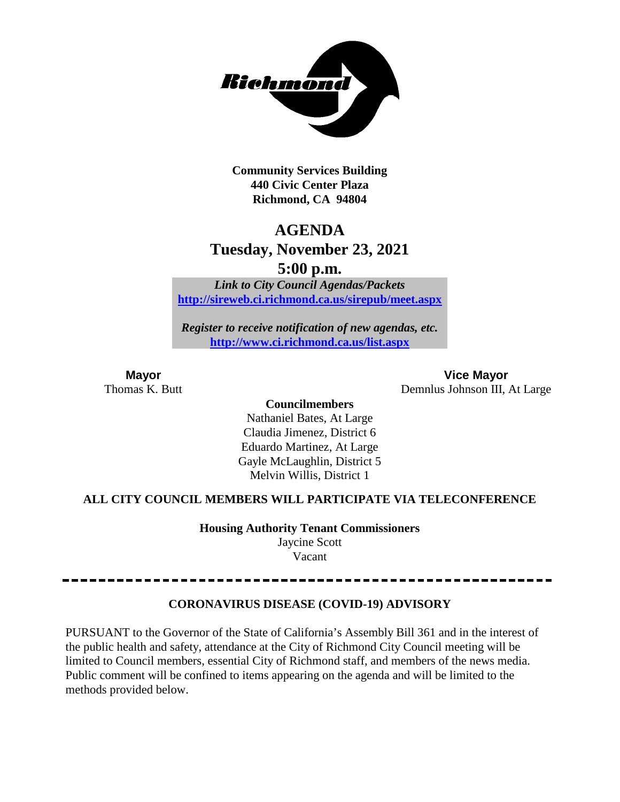

**Community Services Building 440 Civic Center Plaza Richmond, CA 94804**

# **AGENDA**

# **Tuesday, November 23, 2021**

**5:00 p.m.**

*Link to City Council Agendas/Packets* **<http://sireweb.ci.richmond.ca.us/sirepub/meet.aspx>**

*Register to receive notification of new agendas, etc.* **<http://www.ci.richmond.ca.us/list.aspx>**

**Mayor Vice Mayor** Thomas K. Butt Demnlus Johnson III, At Large

**Councilmembers**

Nathaniel Bates, At Large Claudia Jimenez, District 6 Eduardo Martinez, At Large Gayle McLaughlin, District 5 Melvin Willis, District 1

# **ALL CITY COUNCIL MEMBERS WILL PARTICIPATE VIA TELECONFERENCE**

**Housing Authority Tenant Commissioners** Jaycine Scott

Vacant

# **CORONAVIRUS DISEASE (COVID-19) ADVISORY**

PURSUANT to the Governor of the State of California's Assembly Bill 361 and in the interest of the public health and safety, attendance at the City of Richmond City Council meeting will be limited to Council members, essential City of Richmond staff, and members of the news media. Public comment will be confined to items appearing on the agenda and will be limited to the methods provided below.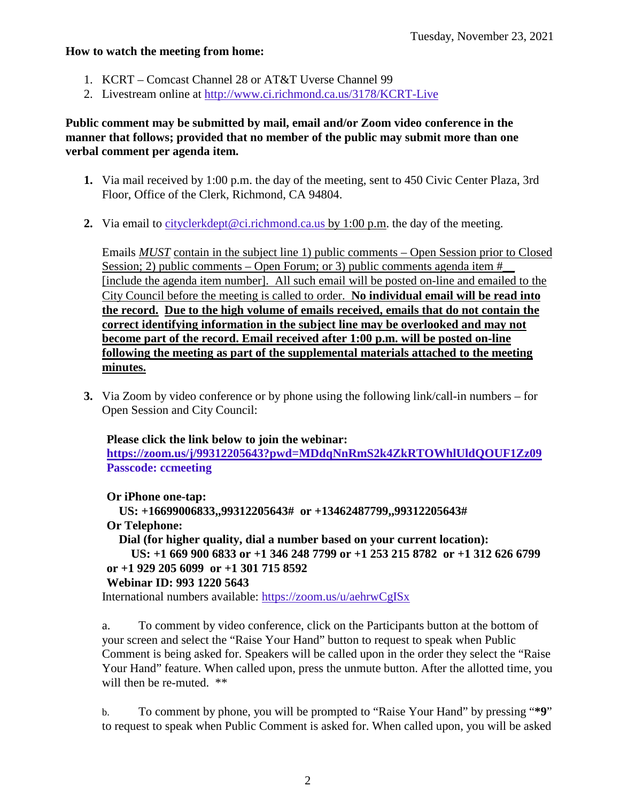#### **How to watch the meeting from home:**

- 1. KCRT Comcast Channel 28 or AT&T Uverse Channel 99
- 2. Livestream online at<http://www.ci.richmond.ca.us/3178/KCRT-Live>

# **Public comment may be submitted by mail, email and/or Zoom video conference in the manner that follows; provided that no member of the public may submit more than one verbal comment per agenda item.**

- **1.** Via mail received by 1:00 p.m. the day of the meeting, sent to 450 Civic Center Plaza, 3rd Floor, Office of the Clerk, Richmond, CA 94804.
- **2.** Via email to [cityclerkdept@ci.richmond.ca.us](mailto:cityclerkdept@ci.richmond.ca.us) by 1:00 p.m. the day of the meeting.

Emails *MUST* contain in the subject line 1) public comments – Open Session prior to Closed Session; 2) public comments – Open Forum; or 3) public comments agenda item  $#$ [include the agenda item number]. All such email will be posted on-line and emailed to the City Council before the meeting is called to order. **No individual email will be read into the record. Due to the high volume of emails received, emails that do not contain the correct identifying information in the subject line may be overlooked and may not become part of the record. Email received after 1:00 p.m. will be posted on-line following the meeting as part of the supplemental materials attached to the meeting minutes.**

**3.** Via Zoom by video conference or by phone using the following link/call-in numbers – for Open Session and City Council:

# **Please click the link below to join the webinar:**

**<https://zoom.us/j/99312205643?pwd=MDdqNnRmS2k4ZkRTOWhlUldQOUF1Zz09> Passcode: ccmeeting**

**Or iPhone one-tap:**

**US: +16699006833,,99312205643# or +13462487799,,99312205643# Or Telephone:**

```
Dial (for higher quality, dial a number based on your current location):
```

```
US: +1 669 900 6833 or +1 346 248 7799 or +1 253 215 8782 or +1 312 626 6799
or +1 929 205 6099 or +1 301 715 8592
```
# **Webinar ID: 993 1220 5643**

International numbers available: <https://zoom.us/u/aehrwCgISx>

a. To comment by video conference, click on the Participants button at the bottom of your screen and select the "Raise Your Hand" button to request to speak when Public Comment is being asked for. Speakers will be called upon in the order they select the "Raise Your Hand" feature. When called upon, press the unmute button. After the allotted time, you will then be re-muted. \*\*

b. To comment by phone, you will be prompted to "Raise Your Hand" by pressing "**\*9**" to request to speak when Public Comment is asked for. When called upon, you will be asked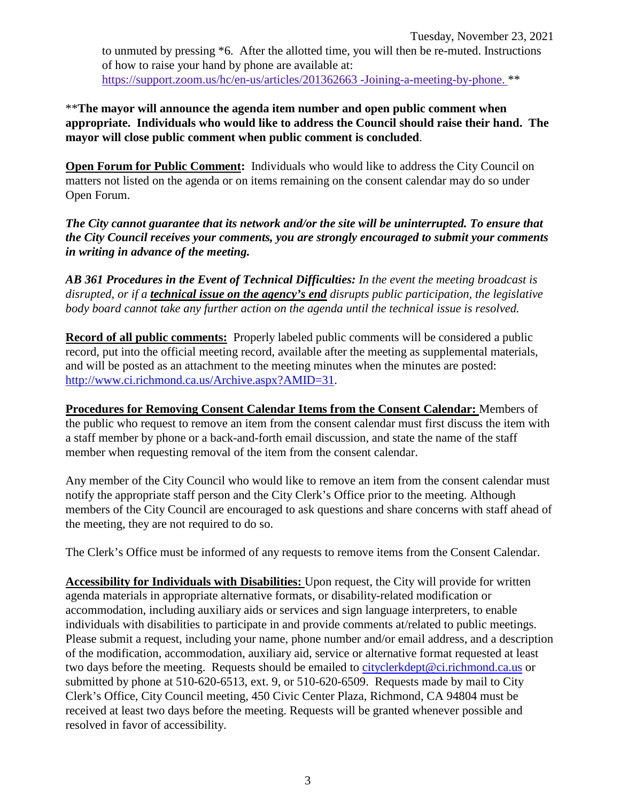to unmuted by pressing \*6. After the allotted time, you will then be re-muted. Instructions of how to raise your hand by phone are available at: [https://support.zoom.us/hc/en-us/articles/201362663 -Joining-a-meeting-by-phone.](https://support.zoom.us/hc/en-us/articles/201362663) \*\*

\*\***The mayor will announce the agenda item number and open public comment when appropriate. Individuals who would like to address the Council should raise their hand. The mayor will close public comment when public comment is concluded**.

**Open Forum for Public Comment:** Individuals who would like to address the City Council on matters not listed on the agenda or on items remaining on the consent calendar may do so under Open Forum.

*The City cannot guarantee that its network and/or the site will be uninterrupted. To ensure that the City Council receives your comments, you are strongly encouraged to submit your comments in writing in advance of the meeting.* 

*AB 361 Procedures in the Event of Technical Difficulties: In the event the meeting broadcast is disrupted, or if a technical issue on the agency's end disrupts public participation, the legislative body board cannot take any further action on the agenda until the technical issue is resolved.*

**Record of all public comments:** Properly labeled public comments will be considered a public record, put into the official meeting record, available after the meeting as supplemental materials, and will be posted as an attachment to the meeting minutes when the minutes are posted: [http://www.ci.richmond.ca.us/Archive.aspx?AMID=31.](http://www.ci.richmond.ca.us/Archive.aspx?AMID=31)

**Procedures for Removing Consent Calendar Items from the Consent Calendar:** Members of the public who request to remove an item from the consent calendar must first discuss the item with a staff member by phone or a back-and-forth email discussion, and state the name of the staff member when requesting removal of the item from the consent calendar.

Any member of the City Council who would like to remove an item from the consent calendar must notify the appropriate staff person and the City Clerk's Office prior to the meeting. Although members of the City Council are encouraged to ask questions and share concerns with staff ahead of the meeting, they are not required to do so.

The Clerk's Office must be informed of any requests to remove items from the Consent Calendar.

**Accessibility for Individuals with Disabilities:** Upon request, the City will provide for written agenda materials in appropriate alternative formats, or disability-related modification or accommodation, including auxiliary aids or services and sign language interpreters, to enable individuals with disabilities to participate in and provide comments at/related to public meetings. Please submit a request, including your name, phone number and/or email address, and a description of the modification, accommodation, auxiliary aid, service or alternative format requested at least two days before the meeting. Requests should be emailed to [cityclerkdept@ci.richmond.ca.us](mailto:cityclerkdept@ci.richmond.ca.us) or submitted by phone at 510-620-6513, ext. 9, or 510-620-6509. Requests made by mail to City Clerk's Office, City Council meeting, 450 Civic Center Plaza, Richmond, CA 94804 must be received at least two days before the meeting. Requests will be granted whenever possible and resolved in favor of accessibility.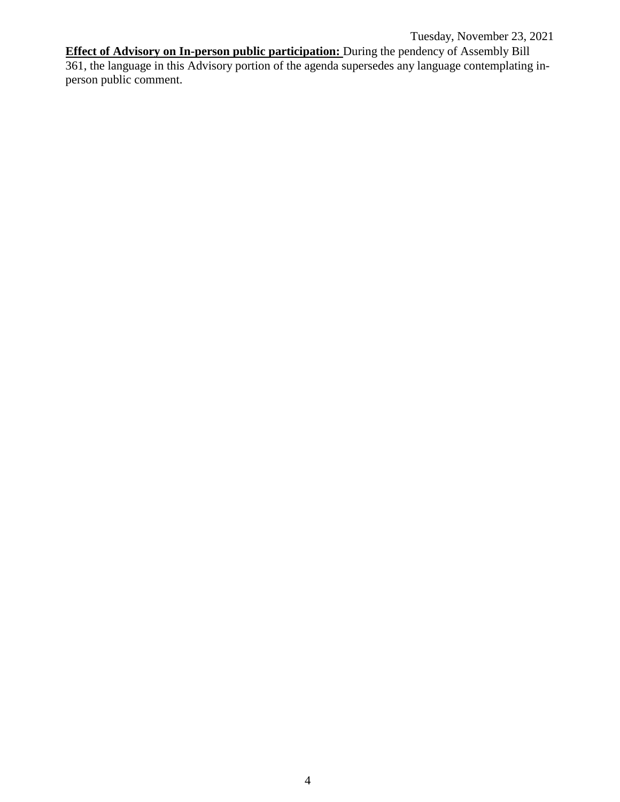Tuesday, November 23, 2021

**Effect of Advisory on In-person public participation:** During the pendency of Assembly Bill 361, the language in this Advisory portion of the agenda supersedes any language contemplating inperson public comment.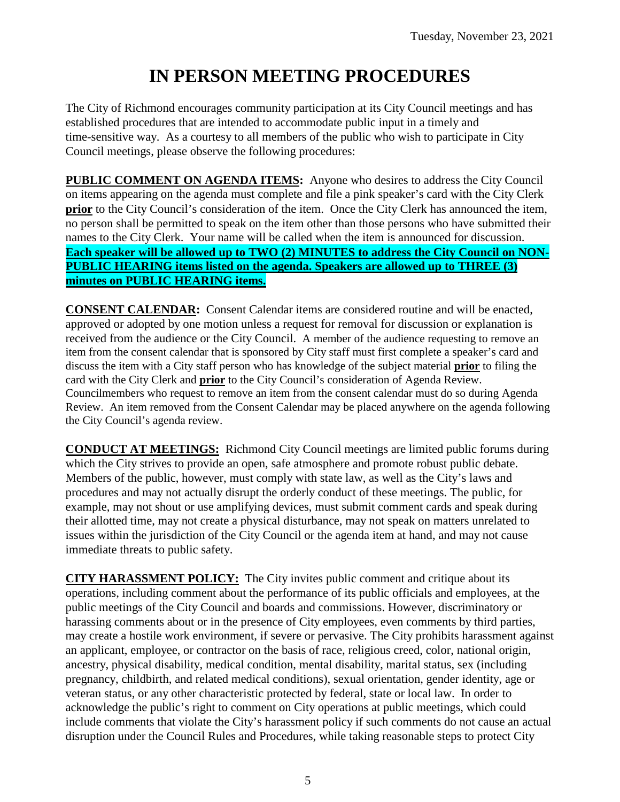# **IN PERSON MEETING PROCEDURES**

The City of Richmond encourages community participation at its City Council meetings and has established procedures that are intended to accommodate public input in a timely and time-sensitive way. As a courtesy to all members of the public who wish to participate in City Council meetings, please observe the following procedures:

**PUBLIC COMMENT ON AGENDA ITEMS:** Anyone who desires to address the City Council on items appearing on the agenda must complete and file a pink speaker's card with the City Clerk **prior** to the City Council's consideration of the item. Once the City Clerk has announced the item, no person shall be permitted to speak on the item other than those persons who have submitted their names to the City Clerk. Your name will be called when the item is announced for discussion. **Each speaker will be allowed up to TWO (2) MINUTES to address the City Council on NON-PUBLIC HEARING items listed on the agenda. Speakers are allowed up to THREE (3) minutes on PUBLIC HEARING items.**

**CONSENT CALENDAR:** Consent Calendar items are considered routine and will be enacted, approved or adopted by one motion unless a request for removal for discussion or explanation is received from the audience or the City Council. A member of the audience requesting to remove an item from the consent calendar that is sponsored by City staff must first complete a speaker's card and discuss the item with a City staff person who has knowledge of the subject material **prior** to filing the card with the City Clerk and **prior** to the City Council's consideration of Agenda Review. Councilmembers who request to remove an item from the consent calendar must do so during Agenda Review. An item removed from the Consent Calendar may be placed anywhere on the agenda following the City Council's agenda review.

**CONDUCT AT MEETINGS:** Richmond City Council meetings are limited public forums during which the City strives to provide an open, safe atmosphere and promote robust public debate. Members of the public, however, must comply with state law, as well as the City's laws and procedures and may not actually disrupt the orderly conduct of these meetings. The public, for example, may not shout or use amplifying devices, must submit comment cards and speak during their allotted time, may not create a physical disturbance, may not speak on matters unrelated to issues within the jurisdiction of the City Council or the agenda item at hand, and may not cause immediate threats to public safety.

**CITY HARASSMENT POLICY:** The City invites public comment and critique about its operations, including comment about the performance of its public officials and employees, at the public meetings of the City Council and boards and commissions. However, discriminatory or harassing comments about or in the presence of City employees, even comments by third parties, may create a hostile work environment, if severe or pervasive. The City prohibits harassment against an applicant, employee, or contractor on the basis of race, religious creed, color, national origin, ancestry, physical disability, medical condition, mental disability, marital status, sex (including pregnancy, childbirth, and related medical conditions), sexual orientation, gender identity, age or veteran status, or any other characteristic protected by federal, state or local law. In order to acknowledge the public's right to comment on City operations at public meetings, which could include comments that violate the City's harassment policy if such comments do not cause an actual disruption under the Council Rules and Procedures, while taking reasonable steps to protect City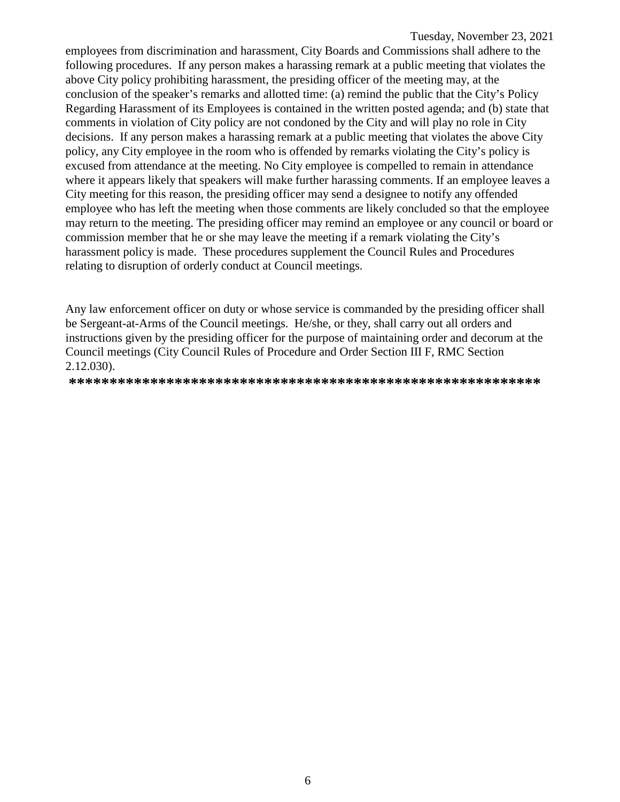employees from discrimination and harassment, City Boards and Commissions shall adhere to the following procedures. If any person makes a harassing remark at a public meeting that violates the above City policy prohibiting harassment, the presiding officer of the meeting may, at the conclusion of the speaker's remarks and allotted time: (a) remind the public that the City's Policy Regarding Harassment of its Employees is contained in the written posted agenda; and (b) state that comments in violation of City policy are not condoned by the City and will play no role in City decisions. If any person makes a harassing remark at a public meeting that violates the above City policy, any City employee in the room who is offended by remarks violating the City's policy is excused from attendance at the meeting. No City employee is compelled to remain in attendance where it appears likely that speakers will make further harassing comments. If an employee leaves a City meeting for this reason, the presiding officer may send a designee to notify any offended employee who has left the meeting when those comments are likely concluded so that the employee may return to the meeting. The presiding officer may remind an employee or any council or board or commission member that he or she may leave the meeting if a remark violating the City's harassment policy is made. These procedures supplement the Council Rules and Procedures relating to disruption of orderly conduct at Council meetings.

Any law enforcement officer on duty or whose service is commanded by the presiding officer shall be Sergeant-at-Arms of the Council meetings. He/she, or they, shall carry out all orders and instructions given by the presiding officer for the purpose of maintaining order and decorum at the Council meetings (City Council Rules of Procedure and Order Section III F, RMC Section 2.12.030).

**\*\*\*\*\*\*\*\*\*\*\*\*\*\*\*\*\*\*\*\*\*\*\*\*\*\*\*\*\*\*\*\*\*\*\*\*\*\*\*\*\*\*\*\*\*\*\*\*\*\*\*\*\*\*\*\*\*\***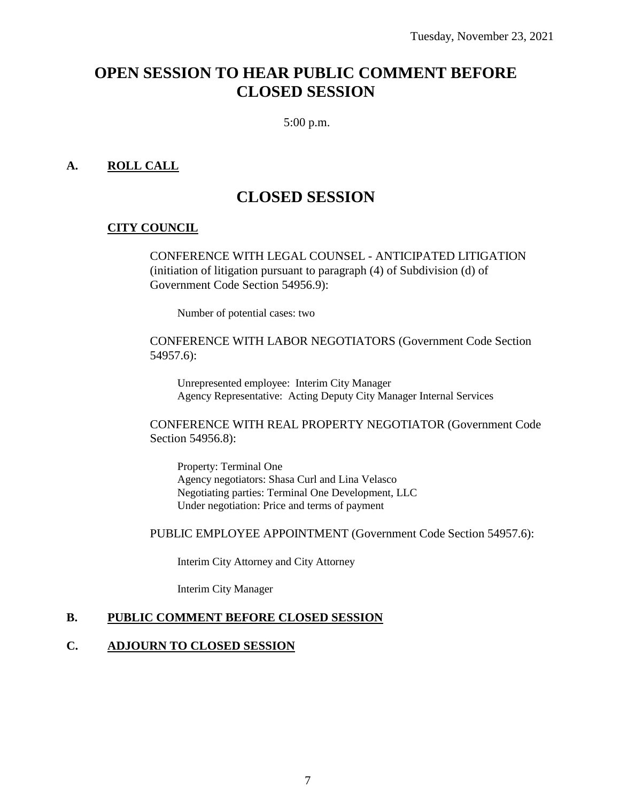# **OPEN SESSION TO HEAR PUBLIC COMMENT BEFORE CLOSED SESSION**

5:00 p.m.

# **A. ROLL CALL**

# **CLOSED SESSION**

# **CITY COUNCIL**

CONFERENCE WITH LEGAL COUNSEL - ANTICIPATED LITIGATION (initiation of litigation pursuant to paragraph (4) of Subdivision (d) of Government Code Section 54956.9):

Number of potential cases: two

CONFERENCE WITH LABOR NEGOTIATORS (Government Code Section 54957.6):

Unrepresented employee: Interim City Manager Agency Representative: Acting Deputy City Manager Internal Services

CONFERENCE WITH REAL PROPERTY NEGOTIATOR (Government Code Section 54956.8):

Property: Terminal One Agency negotiators: Shasa Curl and Lina Velasco Negotiating parties: Terminal One Development, LLC Under negotiation: Price and terms of payment

PUBLIC EMPLOYEE APPOINTMENT (Government Code Section 54957.6):

Interim City Attorney and City Attorney

Interim City Manager

#### **B. PUBLIC COMMENT BEFORE CLOSED SESSION**

#### **C. ADJOURN TO CLOSED SESSION**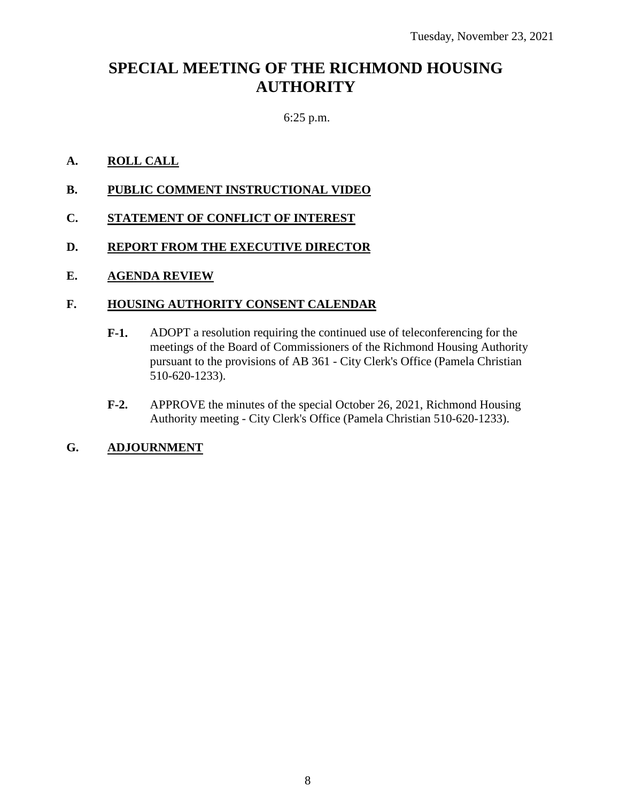# **SPECIAL MEETING OF THE RICHMOND HOUSING AUTHORITY**

# 6:25 p.m.

# **A. ROLL CALL**

- **B. PUBLIC COMMENT INSTRUCTIONAL VIDEO**
- **C. STATEMENT OF CONFLICT OF INTEREST**
- **D. REPORT FROM THE EXECUTIVE DIRECTOR**

# **E. AGENDA REVIEW**

# **F. HOUSING AUTHORITY CONSENT CALENDAR**

- **F-1.** ADOPT a resolution requiring the continued use of teleconferencing for the meetings of the Board of Commissioners of the Richmond Housing Authority pursuant to the provisions of AB 361 - City Clerk's Office (Pamela Christian 510-620-1233).
- **F-2.** APPROVE the minutes of the special October 26, 2021, Richmond Housing Authority meeting - City Clerk's Office (Pamela Christian 510-620-1233).

# **G. ADJOURNMENT**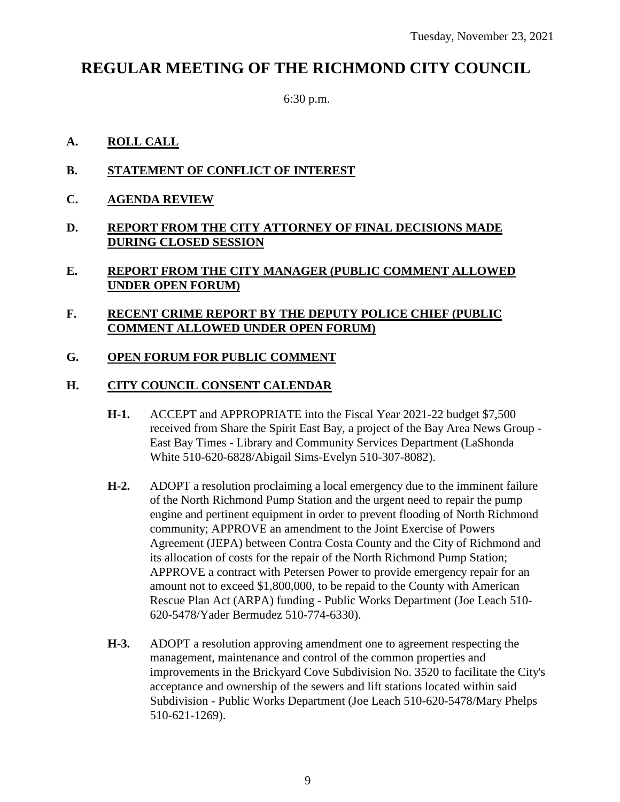# **REGULAR MEETING OF THE RICHMOND CITY COUNCIL**

6:30 p.m.

# **A. ROLL CALL**

- **B. STATEMENT OF CONFLICT OF INTEREST**
- **C. AGENDA REVIEW**
- **D. REPORT FROM THE CITY ATTORNEY OF FINAL DECISIONS MADE DURING CLOSED SESSION**

# **E. REPORT FROM THE CITY MANAGER (PUBLIC COMMENT ALLOWED UNDER OPEN FORUM)**

# **F. RECENT CRIME REPORT BY THE DEPUTY POLICE CHIEF (PUBLIC COMMENT ALLOWED UNDER OPEN FORUM)**

# **G. OPEN FORUM FOR PUBLIC COMMENT**

# **H. CITY COUNCIL CONSENT CALENDAR**

- **H-1.** ACCEPT and APPROPRIATE into the Fiscal Year 2021-22 budget \$7,500 received from Share the Spirit East Bay, a project of the Bay Area News Group - East Bay Times - Library and Community Services Department (LaShonda White 510-620-6828/Abigail Sims-Evelyn 510-307-8082).
- **H-2.** ADOPT a resolution proclaiming a local emergency due to the imminent failure of the North Richmond Pump Station and the urgent need to repair the pump engine and pertinent equipment in order to prevent flooding of North Richmond community; APPROVE an amendment to the Joint Exercise of Powers Agreement (JEPA) between Contra Costa County and the City of Richmond and its allocation of costs for the repair of the North Richmond Pump Station; APPROVE a contract with Petersen Power to provide emergency repair for an amount not to exceed \$1,800,000, to be repaid to the County with American Rescue Plan Act (ARPA) funding - Public Works Department (Joe Leach 510- 620-5478/Yader Bermudez 510-774-6330).
- **H-3.** ADOPT a resolution approving amendment one to agreement respecting the management, maintenance and control of the common properties and improvements in the Brickyard Cove Subdivision No. 3520 to facilitate the City's acceptance and ownership of the sewers and lift stations located within said Subdivision - Public Works Department (Joe Leach 510-620-5478/Mary Phelps 510-621-1269).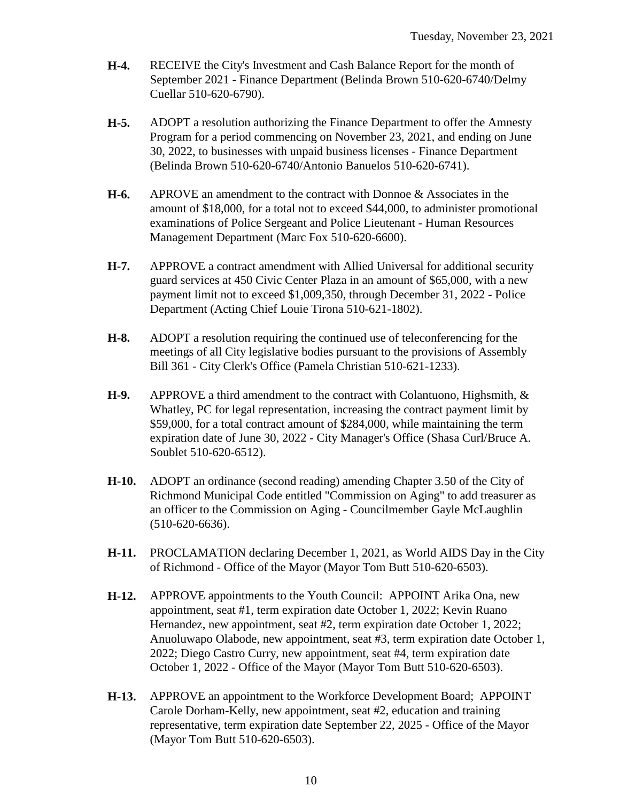- **H-4.** RECEIVE the City's Investment and Cash Balance Report for the month of September 2021 - Finance Department (Belinda Brown 510-620-6740/Delmy Cuellar 510-620-6790).
- **H-5.** ADOPT a resolution authorizing the Finance Department to offer the Amnesty Program for a period commencing on November 23, 2021, and ending on June 30, 2022, to businesses with unpaid business licenses - Finance Department (Belinda Brown 510-620-6740/Antonio Banuelos 510-620-6741).
- **H-6.** APROVE an amendment to the contract with Donnoe & Associates in the amount of \$18,000, for a total not to exceed \$44,000, to administer promotional examinations of Police Sergeant and Police Lieutenant - Human Resources Management Department (Marc Fox 510-620-6600).
- **H-7.** APPROVE a contract amendment with Allied Universal for additional security guard services at 450 Civic Center Plaza in an amount of \$65,000, with a new payment limit not to exceed \$1,009,350, through December 31, 2022 - Police Department (Acting Chief Louie Tirona 510-621-1802).
- **H-8.** ADOPT a resolution requiring the continued use of teleconferencing for the meetings of all City legislative bodies pursuant to the provisions of Assembly Bill 361 - City Clerk's Office (Pamela Christian 510-621-1233).
- **H-9.** APPROVE a third amendment to the contract with Colantuono, Highsmith, & Whatley, PC for legal representation, increasing the contract payment limit by \$59,000, for a total contract amount of \$284,000, while maintaining the term expiration date of June 30, 2022 - City Manager's Office (Shasa Curl/Bruce A. Soublet 510-620-6512).
- **H-10.** ADOPT an ordinance (second reading) amending Chapter 3.50 of the City of Richmond Municipal Code entitled "Commission on Aging" to add treasurer as an officer to the Commission on Aging - Councilmember Gayle McLaughlin (510-620-6636).
- **H-11.** PROCLAMATION declaring December 1, 2021, as World AIDS Day in the City of Richmond - Office of the Mayor (Mayor Tom Butt 510-620-6503).
- **H-12.** APPROVE appointments to the Youth Council: APPOINT Arika Ona, new appointment, seat #1, term expiration date October 1, 2022; Kevin Ruano Hernandez, new appointment, seat #2, term expiration date October 1, 2022; Anuoluwapo Olabode, new appointment, seat #3, term expiration date October 1, 2022; Diego Castro Curry, new appointment, seat #4, term expiration date October 1, 2022 - Office of the Mayor (Mayor Tom Butt 510-620-6503).
- **H-13.** APPROVE an appointment to the Workforce Development Board; APPOINT Carole Dorham-Kelly, new appointment, seat #2, education and training representative, term expiration date September 22, 2025 - Office of the Mayor (Mayor Tom Butt 510-620-6503).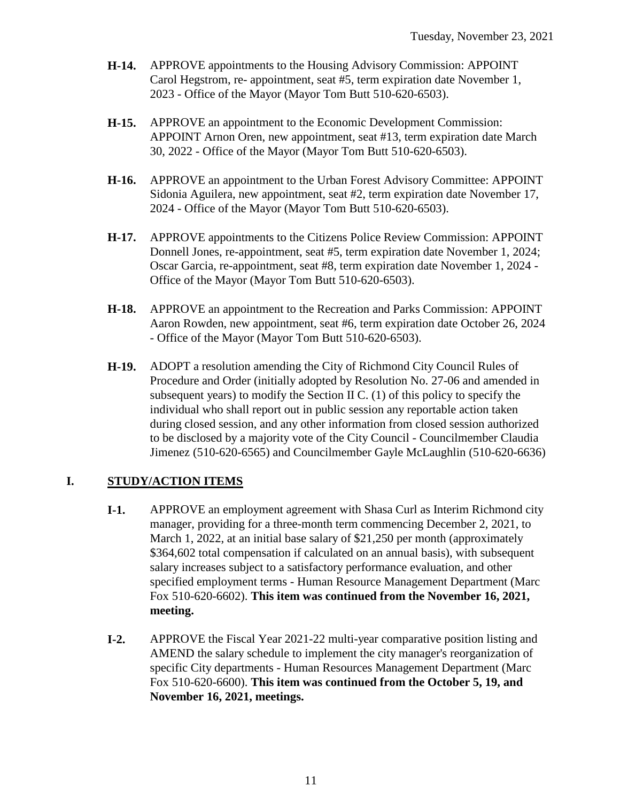- **H-14.** APPROVE appointments to the Housing Advisory Commission: APPOINT Carol Hegstrom, re- appointment, seat #5, term expiration date November 1, 2023 - Office of the Mayor (Mayor Tom Butt 510-620-6503).
- **H-15.** APPROVE an appointment to the Economic Development Commission: APPOINT Arnon Oren, new appointment, seat #13, term expiration date March 30, 2022 - Office of the Mayor (Mayor Tom Butt 510-620-6503).
- **H-16.** APPROVE an appointment to the Urban Forest Advisory Committee: APPOINT Sidonia Aguilera, new appointment, seat #2, term expiration date November 17, 2024 - Office of the Mayor (Mayor Tom Butt 510-620-6503).
- **H-17.** APPROVE appointments to the Citizens Police Review Commission: APPOINT Donnell Jones, re-appointment, seat #5, term expiration date November 1, 2024; Oscar Garcia, re-appointment, seat #8, term expiration date November 1, 2024 - Office of the Mayor (Mayor Tom Butt 510-620-6503).
- **H-18.** APPROVE an appointment to the Recreation and Parks Commission: APPOINT Aaron Rowden, new appointment, seat #6, term expiration date October 26, 2024 - Office of the Mayor (Mayor Tom Butt 510-620-6503).
- **H-19.** ADOPT a resolution amending the City of Richmond City Council Rules of Procedure and Order (initially adopted by Resolution No. 27-06 and amended in subsequent years) to modify the Section II C. (1) of this policy to specify the individual who shall report out in public session any reportable action taken during closed session, and any other information from closed session authorized to be disclosed by a majority vote of the City Council - Councilmember Claudia Jimenez (510-620-6565) and Councilmember Gayle McLaughlin (510-620-6636)

# **I. STUDY/ACTION ITEMS**

- **I-1.** APPROVE an employment agreement with Shasa Curl as Interim Richmond city manager, providing for a three-month term commencing December 2, 2021, to March 1, 2022, at an initial base salary of \$21,250 per month (approximately \$364,602 total compensation if calculated on an annual basis), with subsequent salary increases subject to a satisfactory performance evaluation, and other specified employment terms - Human Resource Management Department (Marc Fox 510-620-6602). **This item was continued from the November 16, 2021, meeting.**
- **I-2.** APPROVE the Fiscal Year 2021-22 multi-year comparative position listing and AMEND the salary schedule to implement the city manager's reorganization of specific City departments - Human Resources Management Department (Marc Fox 510-620-6600). **This item was continued from the October 5, 19, and November 16, 2021, meetings.**